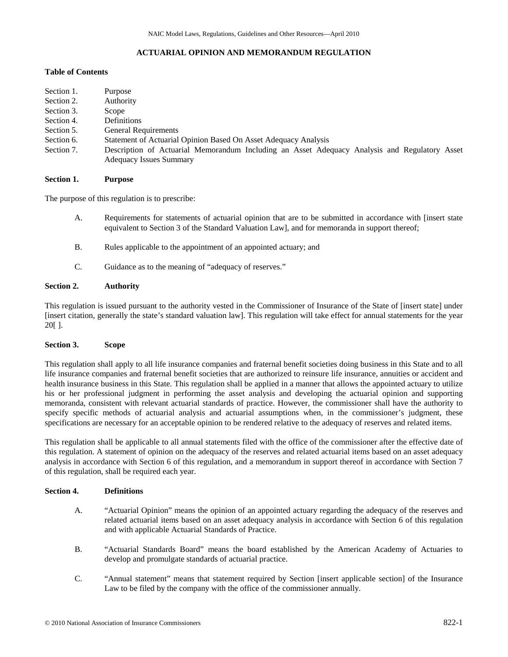### **Table of Contents**

| Section 1. | Purpose                                                                                                                         |
|------------|---------------------------------------------------------------------------------------------------------------------------------|
| Section 2. | Authority                                                                                                                       |
| Section 3. | Scope                                                                                                                           |
| Section 4. | Definitions                                                                                                                     |
| Section 5. | <b>General Requirements</b>                                                                                                     |
| Section 6. | Statement of Actuarial Opinion Based On Asset Adequacy Analysis                                                                 |
| Section 7. | Description of Actuarial Memorandum Including an Asset Adequacy Analysis and Regulatory Asset<br><b>Adequacy Issues Summary</b> |

## **Section 1. Purpose**

The purpose of this regulation is to prescribe:

- A. Requirements for statements of actuarial opinion that are to be submitted in accordance with [insert state equivalent to Section 3 of the Standard Valuation Law], and for memoranda in support thereof;
- B. Rules applicable to the appointment of an appointed actuary; and
- C. Guidance as to the meaning of "adequacy of reserves."

### **Section 2. Authority**

This regulation is issued pursuant to the authority vested in the Commissioner of Insurance of the State of [insert state] under [insert citation, generally the state's standard valuation law]. This regulation will take effect for annual statements for the year 20[ ].

## **Section 3. Scope**

This regulation shall apply to all life insurance companies and fraternal benefit societies doing business in this State and to all life insurance companies and fraternal benefit societies that are authorized to reinsure life insurance, annuities or accident and health insurance business in this State. This regulation shall be applied in a manner that allows the appointed actuary to utilize his or her professional judgment in performing the asset analysis and developing the actuarial opinion and supporting memoranda, consistent with relevant actuarial standards of practice. However, the commissioner shall have the authority to specify specific methods of actuarial analysis and actuarial assumptions when, in the commissioner's judgment, these specifications are necessary for an acceptable opinion to be rendered relative to the adequacy of reserves and related items.

This regulation shall be applicable to all annual statements filed with the office of the commissioner after the effective date of this regulation. A statement of opinion on the adequacy of the reserves and related actuarial items based on an asset adequacy analysis in accordance with Section 6 of this regulation, and a memorandum in support thereof in accordance with Section 7 of this regulation, shall be required each year.

### **Section 4. Definitions**

- A. "Actuarial Opinion" means the opinion of an appointed actuary regarding the adequacy of the reserves and related actuarial items based on an asset adequacy analysis in accordance with Section 6 of this regulation and with applicable Actuarial Standards of Practice.
- B. "Actuarial Standards Board" means the board established by the American Academy of Actuaries to develop and promulgate standards of actuarial practice.
- C. "Annual statement" means that statement required by Section [insert applicable section] of the Insurance Law to be filed by the company with the office of the commissioner annually.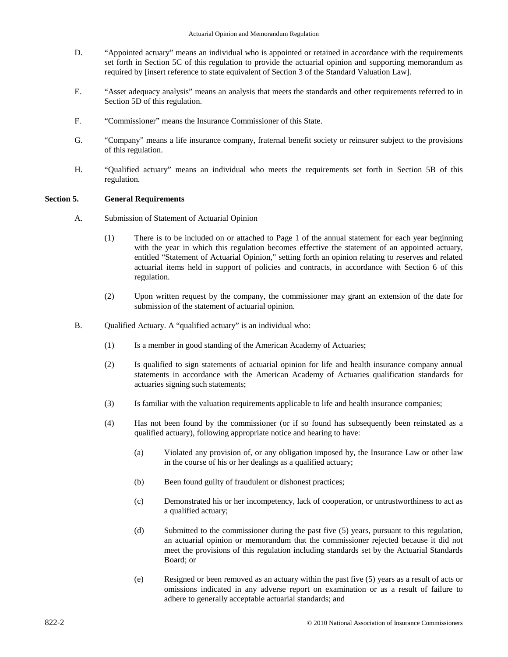- D. "Appointed actuary" means an individual who is appointed or retained in accordance with the requirements set forth in Section 5C of this regulation to provide the actuarial opinion and supporting memorandum as required by [insert reference to state equivalent of Section 3 of the Standard Valuation Law].
- E. "Asset adequacy analysis" means an analysis that meets the standards and other requirements referred to in Section 5D of this regulation.
- F. "Commissioner" means the Insurance Commissioner of this State.
- G. "Company" means a life insurance company, fraternal benefit society or reinsurer subject to the provisions of this regulation.
- H. "Qualified actuary" means an individual who meets the requirements set forth in Section 5B of this regulation.

## **Section 5. General Requirements**

- A. Submission of Statement of Actuarial Opinion
	- (1) There is to be included on or attached to Page 1 of the annual statement for each year beginning with the year in which this regulation becomes effective the statement of an appointed actuary, entitled "Statement of Actuarial Opinion," setting forth an opinion relating to reserves and related actuarial items held in support of policies and contracts, in accordance with Section 6 of this regulation.
	- (2) Upon written request by the company, the commissioner may grant an extension of the date for submission of the statement of actuarial opinion.
- B. Qualified Actuary. A "qualified actuary" is an individual who:
	- (1) Is a member in good standing of the American Academy of Actuaries;
	- (2) Is qualified to sign statements of actuarial opinion for life and health insurance company annual statements in accordance with the American Academy of Actuaries qualification standards for actuaries signing such statements;
	- (3) Is familiar with the valuation requirements applicable to life and health insurance companies;
	- (4) Has not been found by the commissioner (or if so found has subsequently been reinstated as a qualified actuary), following appropriate notice and hearing to have:
		- (a) Violated any provision of, or any obligation imposed by, the Insurance Law or other law in the course of his or her dealings as a qualified actuary;
		- (b) Been found guilty of fraudulent or dishonest practices;
		- (c) Demonstrated his or her incompetency, lack of cooperation, or untrustworthiness to act as a qualified actuary;
		- (d) Submitted to the commissioner during the past five (5) years, pursuant to this regulation, an actuarial opinion or memorandum that the commissioner rejected because it did not meet the provisions of this regulation including standards set by the Actuarial Standards Board; or
		- (e) Resigned or been removed as an actuary within the past five (5) years as a result of acts or omissions indicated in any adverse report on examination or as a result of failure to adhere to generally acceptable actuarial standards; and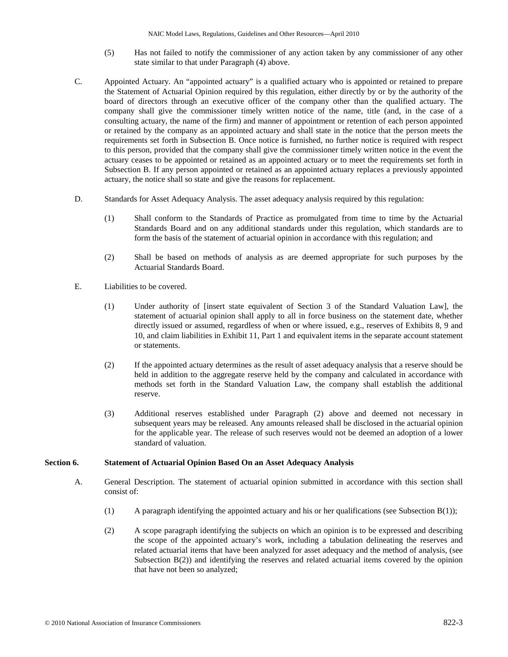- (5) Has not failed to notify the commissioner of any action taken by any commissioner of any other state similar to that under Paragraph (4) above.
- C. Appointed Actuary. An "appointed actuary" is a qualified actuary who is appointed or retained to prepare the Statement of Actuarial Opinion required by this regulation, either directly by or by the authority of the board of directors through an executive officer of the company other than the qualified actuary. The company shall give the commissioner timely written notice of the name, title (and, in the case of a consulting actuary, the name of the firm) and manner of appointment or retention of each person appointed or retained by the company as an appointed actuary and shall state in the notice that the person meets the requirements set forth in Subsection B. Once notice is furnished, no further notice is required with respect to this person, provided that the company shall give the commissioner timely written notice in the event the actuary ceases to be appointed or retained as an appointed actuary or to meet the requirements set forth in Subsection B. If any person appointed or retained as an appointed actuary replaces a previously appointed actuary, the notice shall so state and give the reasons for replacement.
- D. Standards for Asset Adequacy Analysis. The asset adequacy analysis required by this regulation:
	- (1) Shall conform to the Standards of Practice as promulgated from time to time by the Actuarial Standards Board and on any additional standards under this regulation, which standards are to form the basis of the statement of actuarial opinion in accordance with this regulation; and
	- (2) Shall be based on methods of analysis as are deemed appropriate for such purposes by the Actuarial Standards Board.
- E. Liabilities to be covered.
	- (1) Under authority of [insert state equivalent of Section 3 of the Standard Valuation Law], the statement of actuarial opinion shall apply to all in force business on the statement date, whether directly issued or assumed, regardless of when or where issued, e.g., reserves of Exhibits 8, 9 and 10, and claim liabilities in Exhibit 11, Part 1 and equivalent items in the separate account statement or statements.
	- (2) If the appointed actuary determines as the result of asset adequacy analysis that a reserve should be held in addition to the aggregate reserve held by the company and calculated in accordance with methods set forth in the Standard Valuation Law, the company shall establish the additional reserve.
	- (3) Additional reserves established under Paragraph (2) above and deemed not necessary in subsequent years may be released. Any amounts released shall be disclosed in the actuarial opinion for the applicable year. The release of such reserves would not be deemed an adoption of a lower standard of valuation.

### **Section 6. Statement of Actuarial Opinion Based On an Asset Adequacy Analysis**

- A. General Description. The statement of actuarial opinion submitted in accordance with this section shall consist of:
	- (1) A paragraph identifying the appointed actuary and his or her qualifications (see Subsection B(1));
	- (2) A scope paragraph identifying the subjects on which an opinion is to be expressed and describing the scope of the appointed actuary's work, including a tabulation delineating the reserves and related actuarial items that have been analyzed for asset adequacy and the method of analysis, (see Subsection  $B(2)$ ) and identifying the reserves and related actuarial items covered by the opinion that have not been so analyzed;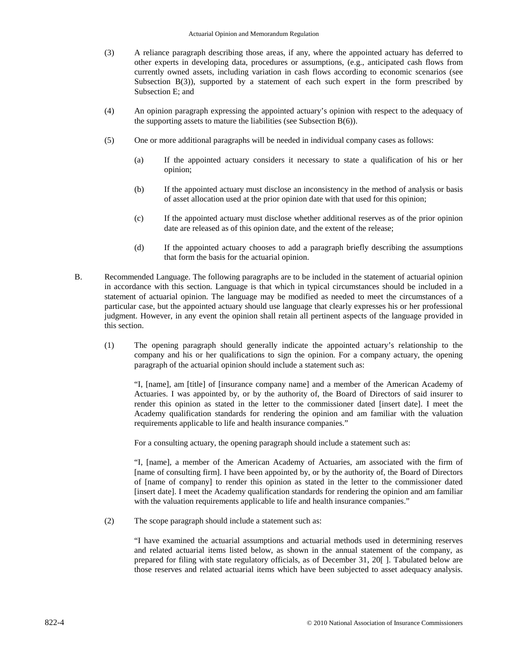- (3) A reliance paragraph describing those areas, if any, where the appointed actuary has deferred to other experts in developing data, procedures or assumptions, (e.g., anticipated cash flows from currently owned assets, including variation in cash flows according to economic scenarios (see Subsection B(3)), supported by a statement of each such expert in the form prescribed by Subsection E; and
- (4) An opinion paragraph expressing the appointed actuary's opinion with respect to the adequacy of the supporting assets to mature the liabilities (see Subsection  $B(6)$ ).
- (5) One or more additional paragraphs will be needed in individual company cases as follows:
	- (a) If the appointed actuary considers it necessary to state a qualification of his or her opinion;
	- (b) If the appointed actuary must disclose an inconsistency in the method of analysis or basis of asset allocation used at the prior opinion date with that used for this opinion;
	- (c) If the appointed actuary must disclose whether additional reserves as of the prior opinion date are released as of this opinion date, and the extent of the release;
	- (d) If the appointed actuary chooses to add a paragraph briefly describing the assumptions that form the basis for the actuarial opinion.
- B. Recommended Language. The following paragraphs are to be included in the statement of actuarial opinion in accordance with this section. Language is that which in typical circumstances should be included in a statement of actuarial opinion. The language may be modified as needed to meet the circumstances of a particular case, but the appointed actuary should use language that clearly expresses his or her professional judgment. However, in any event the opinion shall retain all pertinent aspects of the language provided in this section.
	- (1) The opening paragraph should generally indicate the appointed actuary's relationship to the company and his or her qualifications to sign the opinion. For a company actuary, the opening paragraph of the actuarial opinion should include a statement such as:

"I, [name], am [title] of [insurance company name] and a member of the American Academy of Actuaries. I was appointed by, or by the authority of, the Board of Directors of said insurer to render this opinion as stated in the letter to the commissioner dated [insert date]. I meet the Academy qualification standards for rendering the opinion and am familiar with the valuation requirements applicable to life and health insurance companies."

For a consulting actuary, the opening paragraph should include a statement such as:

"I, [name], a member of the American Academy of Actuaries, am associated with the firm of [name of consulting firm]. I have been appointed by, or by the authority of, the Board of Directors of [name of company] to render this opinion as stated in the letter to the commissioner dated [insert date]. I meet the Academy qualification standards for rendering the opinion and am familiar with the valuation requirements applicable to life and health insurance companies."

(2) The scope paragraph should include a statement such as:

"I have examined the actuarial assumptions and actuarial methods used in determining reserves and related actuarial items listed below, as shown in the annual statement of the company, as prepared for filing with state regulatory officials, as of December 31, 20[ ]. Tabulated below are those reserves and related actuarial items which have been subjected to asset adequacy analysis.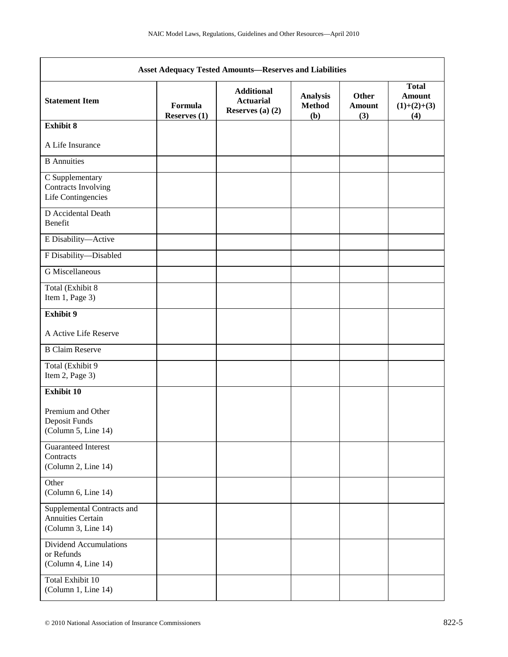| <b>Asset Adequacy Tested Amounts-Reserves and Liabilities</b>          |                         |                                                             |                                         |                               |                                                       |
|------------------------------------------------------------------------|-------------------------|-------------------------------------------------------------|-----------------------------------------|-------------------------------|-------------------------------------------------------|
| <b>Statement Item</b>                                                  | Formula<br>Reserves (1) | <b>Additional</b><br><b>Actuarial</b><br>Reserves (a) $(2)$ | <b>Analysis</b><br><b>Method</b><br>(b) | Other<br><b>Amount</b><br>(3) | <b>Total</b><br><b>Amount</b><br>$(1)+(2)+(3)$<br>(4) |
| <b>Exhibit 8</b>                                                       |                         |                                                             |                                         |                               |                                                       |
| A Life Insurance                                                       |                         |                                                             |                                         |                               |                                                       |
| <b>B</b> Annuities                                                     |                         |                                                             |                                         |                               |                                                       |
| C Supplementary<br><b>Contracts Involving</b><br>Life Contingencies    |                         |                                                             |                                         |                               |                                                       |
| D Accidental Death<br>Benefit                                          |                         |                                                             |                                         |                               |                                                       |
| E Disability-Active                                                    |                         |                                                             |                                         |                               |                                                       |
| F Disability-Disabled                                                  |                         |                                                             |                                         |                               |                                                       |
| <b>G</b> Miscellaneous                                                 |                         |                                                             |                                         |                               |                                                       |
| Total (Exhibit 8<br>Item 1, Page 3)                                    |                         |                                                             |                                         |                               |                                                       |
| <b>Exhibit 9</b>                                                       |                         |                                                             |                                         |                               |                                                       |
| A Active Life Reserve                                                  |                         |                                                             |                                         |                               |                                                       |
| <b>B Claim Reserve</b>                                                 |                         |                                                             |                                         |                               |                                                       |
| Total (Exhibit 9<br>Item 2, Page 3)                                    |                         |                                                             |                                         |                               |                                                       |
| <b>Exhibit 10</b>                                                      |                         |                                                             |                                         |                               |                                                       |
| Premium and Other<br>Deposit Funds<br>(Column 5, Line 14)              |                         |                                                             |                                         |                               |                                                       |
| Guaranteed Interest<br>Contracts<br>(Column 2, Line 14)                |                         |                                                             |                                         |                               |                                                       |
| Other<br>(Column 6, Line 14)                                           |                         |                                                             |                                         |                               |                                                       |
| Supplemental Contracts and<br>Annuities Certain<br>(Column 3, Line 14) |                         |                                                             |                                         |                               |                                                       |
| Dividend Accumulations<br>or Refunds<br>(Column 4, Line 14)            |                         |                                                             |                                         |                               |                                                       |
| Total Exhibit 10<br>(Column 1, Line 14)                                |                         |                                                             |                                         |                               |                                                       |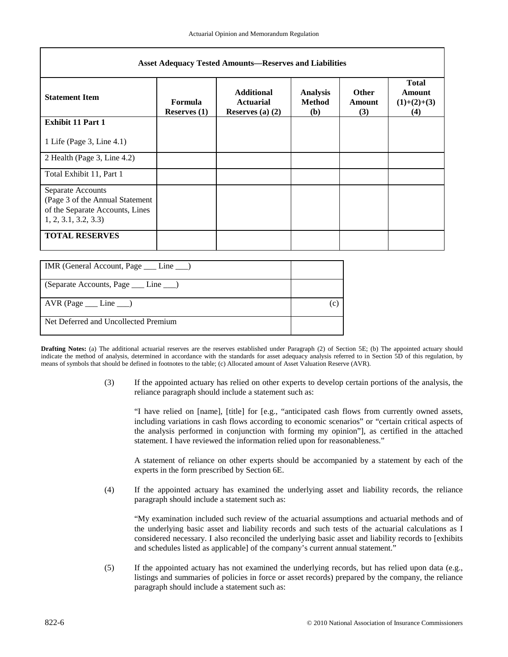| <b>Asset Adequacy Tested Amounts-Reserves and Liabilities</b>                                                  |                           |                                                             |                                                  |                               |                                                       |
|----------------------------------------------------------------------------------------------------------------|---------------------------|-------------------------------------------------------------|--------------------------------------------------|-------------------------------|-------------------------------------------------------|
| <b>Statement Item</b>                                                                                          | Formula<br>Reserves $(1)$ | <b>Additional</b><br><b>Actuarial</b><br>Reserves (a) $(2)$ | <b>Analysis</b><br><b>Method</b><br>( <b>b</b> ) | <b>Other</b><br>Amount<br>(3) | <b>Total</b><br><b>Amount</b><br>$(1)+(2)+(3)$<br>(4) |
| <b>Exhibit 11 Part 1</b>                                                                                       |                           |                                                             |                                                  |                               |                                                       |
| 1 Life (Page 3, Line 4.1)                                                                                      |                           |                                                             |                                                  |                               |                                                       |
| 2 Health (Page 3, Line 4.2)                                                                                    |                           |                                                             |                                                  |                               |                                                       |
| Total Exhibit 11, Part 1                                                                                       |                           |                                                             |                                                  |                               |                                                       |
| Separate Accounts<br>(Page 3 of the Annual Statement<br>of the Separate Accounts, Lines<br>1, 2, 3.1, 3.2, 3.3 |                           |                                                             |                                                  |                               |                                                       |
| <b>TOTAL RESERVES</b>                                                                                          |                           |                                                             |                                                  |                               |                                                       |

| IMR (General Account, Page ___ Line __) |  |
|-----------------------------------------|--|
| (Separate Accounts, Page ___ Line __)   |  |
| $AVR$ (Page $\_\_$ Line $\_\_)$         |  |
| Net Deferred and Uncollected Premium    |  |

**Drafting Notes:** (a) The additional actuarial reserves are the reserves established under Paragraph (2) of Section 5E; (b) The appointed actuary should indicate the method of analysis, determined in accordance with the standards for asset adequacy analysis referred to in Section 5D of this regulation, by means of symbols that should be defined in footnotes to the table; (c) Allocated amount of Asset Valuation Reserve (AVR).

> (3) If the appointed actuary has relied on other experts to develop certain portions of the analysis, the reliance paragraph should include a statement such as:

"I have relied on [name], [title] for [e.g., "anticipated cash flows from currently owned assets, including variations in cash flows according to economic scenarios" or "certain critical aspects of the analysis performed in conjunction with forming my opinion"], as certified in the attached statement. I have reviewed the information relied upon for reasonableness."

A statement of reliance on other experts should be accompanied by a statement by each of the experts in the form prescribed by Section 6E.

(4) If the appointed actuary has examined the underlying asset and liability records, the reliance paragraph should include a statement such as:

"My examination included such review of the actuarial assumptions and actuarial methods and of the underlying basic asset and liability records and such tests of the actuarial calculations as I considered necessary. I also reconciled the underlying basic asset and liability records to [exhibits and schedules listed as applicable] of the company's current annual statement."

(5) If the appointed actuary has not examined the underlying records, but has relied upon data (e.g., listings and summaries of policies in force or asset records) prepared by the company, the reliance paragraph should include a statement such as: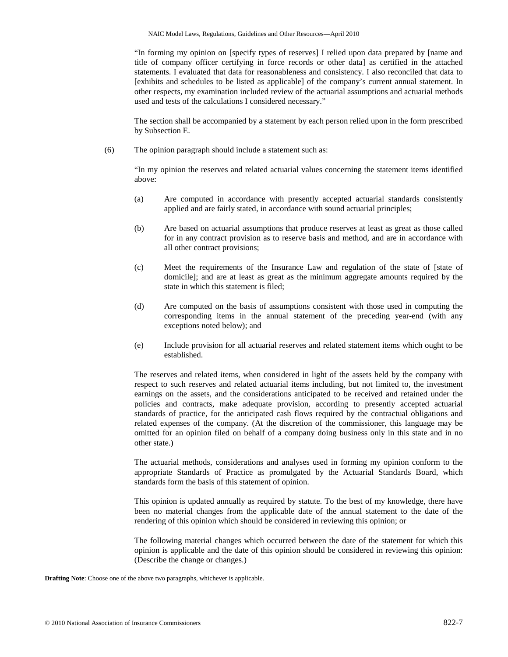"In forming my opinion on [specify types of reserves] I relied upon data prepared by [name and title of company officer certifying in force records or other data] as certified in the attached statements. I evaluated that data for reasonableness and consistency. I also reconciled that data to [exhibits and schedules to be listed as applicable] of the company's current annual statement. In other respects, my examination included review of the actuarial assumptions and actuarial methods used and tests of the calculations I considered necessary."

The section shall be accompanied by a statement by each person relied upon in the form prescribed by Subsection E.

(6) The opinion paragraph should include a statement such as:

"In my opinion the reserves and related actuarial values concerning the statement items identified above:

- (a) Are computed in accordance with presently accepted actuarial standards consistently applied and are fairly stated, in accordance with sound actuarial principles;
- (b) Are based on actuarial assumptions that produce reserves at least as great as those called for in any contract provision as to reserve basis and method, and are in accordance with all other contract provisions;
- (c) Meet the requirements of the Insurance Law and regulation of the state of [state of domicile]; and are at least as great as the minimum aggregate amounts required by the state in which this statement is filed;
- (d) Are computed on the basis of assumptions consistent with those used in computing the corresponding items in the annual statement of the preceding year-end (with any exceptions noted below); and
- (e) Include provision for all actuarial reserves and related statement items which ought to be established.

The reserves and related items, when considered in light of the assets held by the company with respect to such reserves and related actuarial items including, but not limited to, the investment earnings on the assets, and the considerations anticipated to be received and retained under the policies and contracts, make adequate provision, according to presently accepted actuarial standards of practice, for the anticipated cash flows required by the contractual obligations and related expenses of the company. (At the discretion of the commissioner, this language may be omitted for an opinion filed on behalf of a company doing business only in this state and in no other state.)

The actuarial methods, considerations and analyses used in forming my opinion conform to the appropriate Standards of Practice as promulgated by the Actuarial Standards Board, which standards form the basis of this statement of opinion.

This opinion is updated annually as required by statute. To the best of my knowledge, there have been no material changes from the applicable date of the annual statement to the date of the rendering of this opinion which should be considered in reviewing this opinion; or

The following material changes which occurred between the date of the statement for which this opinion is applicable and the date of this opinion should be considered in reviewing this opinion: (Describe the change or changes.)

**Drafting Note**: Choose one of the above two paragraphs, whichever is applicable.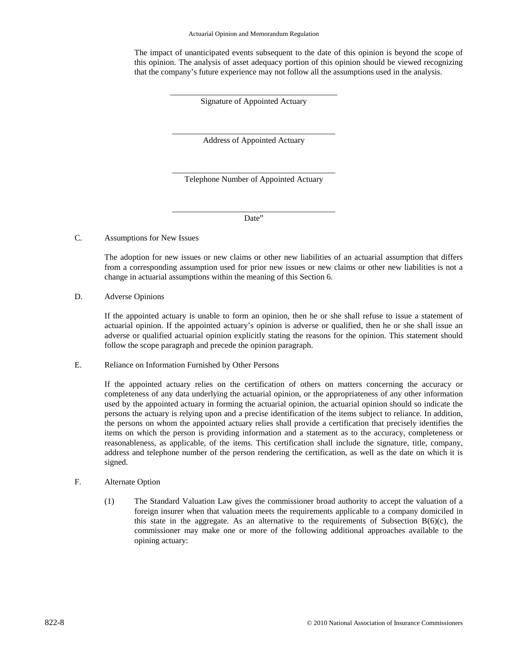The impact of unanticipated events subsequent to the date of this opinion is beyond the scope of this opinion. The analysis of asset adequacy portion of this opinion should be viewed recognizing that the company's future experience may not follow all the assumptions used in the analysis.

> \_\_\_\_\_\_\_\_\_\_\_\_\_\_\_\_\_\_\_\_\_\_\_\_\_\_\_\_\_\_\_\_\_\_\_\_\_\_\_\_ Signature of Appointed Actuary

\_\_\_\_\_\_\_\_\_\_\_\_\_\_\_\_\_\_\_\_\_\_\_\_\_\_\_\_\_\_\_\_\_\_\_\_\_\_\_ Address of Appointed Actuary

\_\_\_\_\_\_\_\_\_\_\_\_\_\_\_\_\_\_\_\_\_\_\_\_\_\_\_\_\_\_\_\_\_\_\_\_\_\_\_ Telephone Number of Appointed Actuary

\_\_\_\_\_\_\_\_\_\_\_\_\_\_\_\_\_\_\_\_\_\_\_\_\_\_\_\_\_\_\_\_\_\_\_\_\_\_\_ Date"

C. Assumptions for New Issues

The adoption for new issues or new claims or other new liabilities of an actuarial assumption that differs from a corresponding assumption used for prior new issues or new claims or other new liabilities is not a change in actuarial assumptions within the meaning of this Section 6.

D. Adverse Opinions

If the appointed actuary is unable to form an opinion, then he or she shall refuse to issue a statement of actuarial opinion. If the appointed actuary's opinion is adverse or qualified, then he or she shall issue an adverse or qualified actuarial opinion explicitly stating the reasons for the opinion. This statement should follow the scope paragraph and precede the opinion paragraph.

E. Reliance on Information Furnished by Other Persons

If the appointed actuary relies on the certification of others on matters concerning the accuracy or completeness of any data underlying the actuarial opinion, or the appropriateness of any other information used by the appointed actuary in forming the actuarial opinion, the actuarial opinion should so indicate the persons the actuary is relying upon and a precise identification of the items subject to reliance. In addition, the persons on whom the appointed actuary relies shall provide a certification that precisely identifies the items on which the person is providing information and a statement as to the accuracy, completeness or reasonableness, as applicable, of the items. This certification shall include the signature, title, company, address and telephone number of the person rendering the certification, as well as the date on which it is signed.

- F. Alternate Option
	- (1) The Standard Valuation Law gives the commissioner broad authority to accept the valuation of a foreign insurer when that valuation meets the requirements applicable to a company domiciled in this state in the aggregate. As an alternative to the requirements of Subsection  $B(6)(c)$ , the commissioner may make one or more of the following additional approaches available to the opining actuary: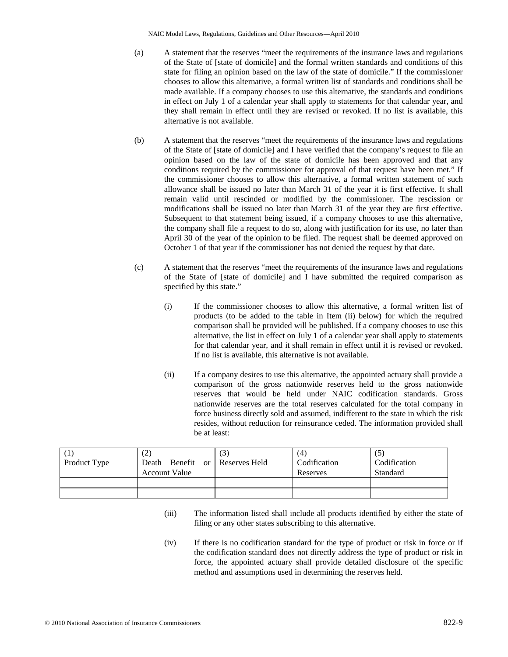NAIC Model Laws, Regulations, Guidelines and Other Resources—April 2010

- (a) A statement that the reserves "meet the requirements of the insurance laws and regulations of the State of [state of domicile] and the formal written standards and conditions of this state for filing an opinion based on the law of the state of domicile." If the commissioner chooses to allow this alternative, a formal written list of standards and conditions shall be made available. If a company chooses to use this alternative, the standards and conditions in effect on July 1 of a calendar year shall apply to statements for that calendar year, and they shall remain in effect until they are revised or revoked. If no list is available, this alternative is not available.
- (b) A statement that the reserves "meet the requirements of the insurance laws and regulations of the State of [state of domicile] and I have verified that the company's request to file an opinion based on the law of the state of domicile has been approved and that any conditions required by the commissioner for approval of that request have been met." If the commissioner chooses to allow this alternative, a formal written statement of such allowance shall be issued no later than March 31 of the year it is first effective. It shall remain valid until rescinded or modified by the commissioner. The rescission or modifications shall be issued no later than March 31 of the year they are first effective. Subsequent to that statement being issued, if a company chooses to use this alternative, the company shall file a request to do so, along with justification for its use, no later than April 30 of the year of the opinion to be filed. The request shall be deemed approved on October 1 of that year if the commissioner has not denied the request by that date.
- (c) A statement that the reserves "meet the requirements of the insurance laws and regulations of the State of [state of domicile] and I have submitted the required comparison as specified by this state."
	- (i) If the commissioner chooses to allow this alternative, a formal written list of products (to be added to the table in Item (ii) below) for which the required comparison shall be provided will be published. If a company chooses to use this alternative, the list in effect on July 1 of a calendar year shall apply to statements for that calendar year, and it shall remain in effect until it is revised or revoked. If no list is available, this alternative is not available.
	- (ii) If a company desires to use this alternative, the appointed actuary shall provide a comparison of the gross nationwide reserves held to the gross nationwide reserves that would be held under NAIC codification standards. Gross nationwide reserves are the total reserves calculated for the total company in force business directly sold and assumed, indifferent to the state in which the risk resides, without reduction for reinsurance ceded. The information provided shall be at least:

| Product Type | (2)<br>Death Benefit or<br><b>Account Value</b> | Reserves Held | (4)<br>Codification<br>Reserves | (5)<br>Codification<br>Standard |
|--------------|-------------------------------------------------|---------------|---------------------------------|---------------------------------|
|              |                                                 |               |                                 |                                 |
|              |                                                 |               |                                 |                                 |

- (iii) The information listed shall include all products identified by either the state of filing or any other states subscribing to this alternative.
- (iv) If there is no codification standard for the type of product or risk in force or if the codification standard does not directly address the type of product or risk in force, the appointed actuary shall provide detailed disclosure of the specific method and assumptions used in determining the reserves held.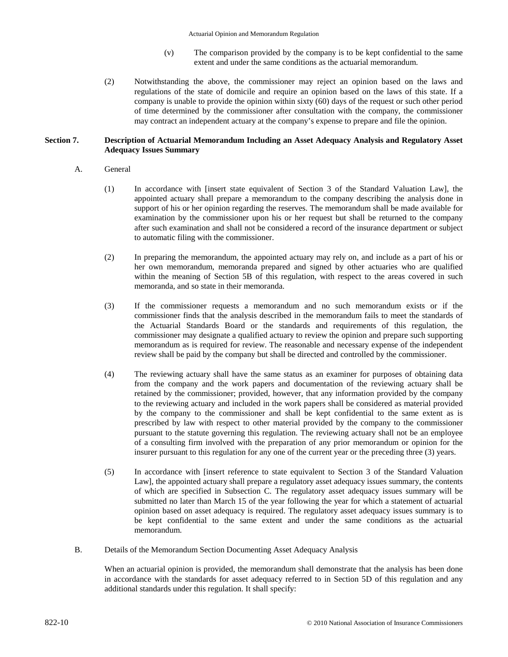- (v) The comparison provided by the company is to be kept confidential to the same extent and under the same conditions as the actuarial memorandum.
- (2) Notwithstanding the above, the commissioner may reject an opinion based on the laws and regulations of the state of domicile and require an opinion based on the laws of this state. If a company is unable to provide the opinion within sixty (60) days of the request or such other period of time determined by the commissioner after consultation with the company, the commissioner may contract an independent actuary at the company's expense to prepare and file the opinion.

## **Section 7. Description of Actuarial Memorandum Including an Asset Adequacy Analysis and Regulatory Asset Adequacy Issues Summary**

- A. General
	- (1) In accordance with [insert state equivalent of Section 3 of the Standard Valuation Law], the appointed actuary shall prepare a memorandum to the company describing the analysis done in support of his or her opinion regarding the reserves. The memorandum shall be made available for examination by the commissioner upon his or her request but shall be returned to the company after such examination and shall not be considered a record of the insurance department or subject to automatic filing with the commissioner.
	- (2) In preparing the memorandum, the appointed actuary may rely on, and include as a part of his or her own memorandum, memoranda prepared and signed by other actuaries who are qualified within the meaning of Section 5B of this regulation, with respect to the areas covered in such memoranda, and so state in their memoranda.
	- (3) If the commissioner requests a memorandum and no such memorandum exists or if the commissioner finds that the analysis described in the memorandum fails to meet the standards of the Actuarial Standards Board or the standards and requirements of this regulation, the commissioner may designate a qualified actuary to review the opinion and prepare such supporting memorandum as is required for review. The reasonable and necessary expense of the independent review shall be paid by the company but shall be directed and controlled by the commissioner.
	- (4) The reviewing actuary shall have the same status as an examiner for purposes of obtaining data from the company and the work papers and documentation of the reviewing actuary shall be retained by the commissioner; provided, however, that any information provided by the company to the reviewing actuary and included in the work papers shall be considered as material provided by the company to the commissioner and shall be kept confidential to the same extent as is prescribed by law with respect to other material provided by the company to the commissioner pursuant to the statute governing this regulation. The reviewing actuary shall not be an employee of a consulting firm involved with the preparation of any prior memorandum or opinion for the insurer pursuant to this regulation for any one of the current year or the preceding three (3) years.
	- (5) In accordance with [insert reference to state equivalent to Section 3 of the Standard Valuation Law], the appointed actuary shall prepare a regulatory asset adequacy issues summary, the contents of which are specified in Subsection C. The regulatory asset adequacy issues summary will be submitted no later than March 15 of the year following the year for which a statement of actuarial opinion based on asset adequacy is required. The regulatory asset adequacy issues summary is to be kept confidential to the same extent and under the same conditions as the actuarial memorandum.
- B. Details of the Memorandum Section Documenting Asset Adequacy Analysis

When an actuarial opinion is provided, the memorandum shall demonstrate that the analysis has been done in accordance with the standards for asset adequacy referred to in Section 5D of this regulation and any additional standards under this regulation. It shall specify: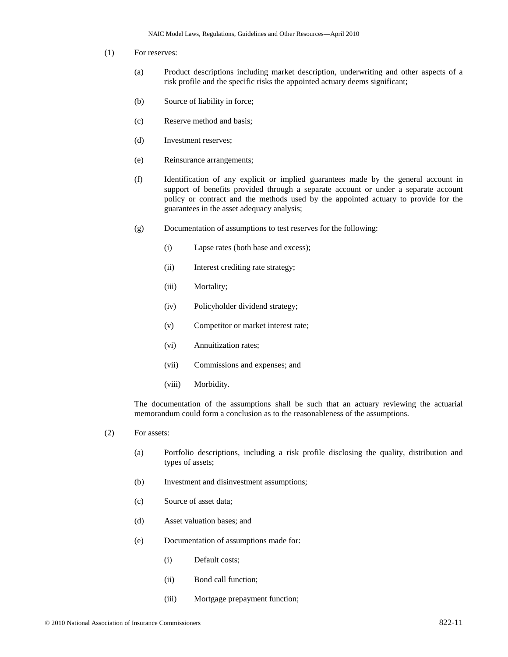- (1) For reserves:
	- (a) Product descriptions including market description, underwriting and other aspects of a risk profile and the specific risks the appointed actuary deems significant;
	- (b) Source of liability in force;
	- (c) Reserve method and basis;
	- (d) Investment reserves;
	- (e) Reinsurance arrangements;
	- (f) Identification of any explicit or implied guarantees made by the general account in support of benefits provided through a separate account or under a separate account policy or contract and the methods used by the appointed actuary to provide for the guarantees in the asset adequacy analysis;
	- (g) Documentation of assumptions to test reserves for the following:
		- (i) Lapse rates (both base and excess);
		- (ii) Interest crediting rate strategy;
		- (iii) Mortality;
		- (iv) Policyholder dividend strategy;
		- (v) Competitor or market interest rate;
		- (vi) Annuitization rates;
		- (vii) Commissions and expenses; and
		- (viii) Morbidity.

The documentation of the assumptions shall be such that an actuary reviewing the actuarial memorandum could form a conclusion as to the reasonableness of the assumptions.

- (2) For assets:
	- (a) Portfolio descriptions, including a risk profile disclosing the quality, distribution and types of assets;
	- (b) Investment and disinvestment assumptions;
	- (c) Source of asset data;
	- (d) Asset valuation bases; and
	- (e) Documentation of assumptions made for:
		- (i) Default costs;
		- (ii) Bond call function;
		- (iii) Mortgage prepayment function;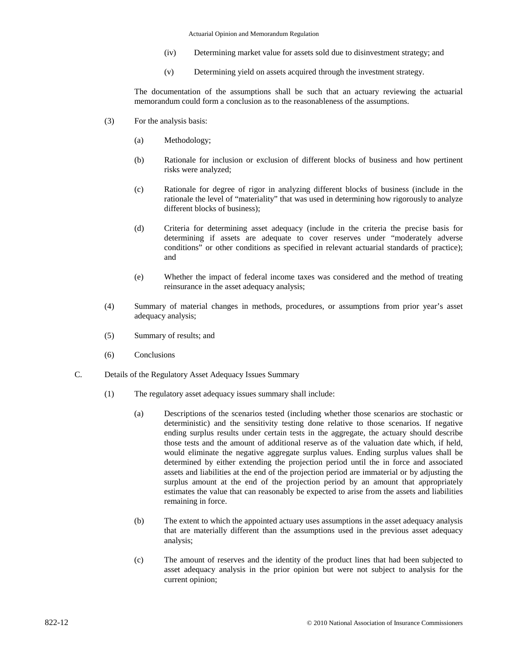Actuarial Opinion and Memorandum Regulation

- (iv) Determining market value for assets sold due to disinvestment strategy; and
- (v) Determining yield on assets acquired through the investment strategy.

The documentation of the assumptions shall be such that an actuary reviewing the actuarial memorandum could form a conclusion as to the reasonableness of the assumptions.

- (3) For the analysis basis:
	- (a) Methodology;
	- (b) Rationale for inclusion or exclusion of different blocks of business and how pertinent risks were analyzed;
	- (c) Rationale for degree of rigor in analyzing different blocks of business (include in the rationale the level of "materiality" that was used in determining how rigorously to analyze different blocks of business);
	- (d) Criteria for determining asset adequacy (include in the criteria the precise basis for determining if assets are adequate to cover reserves under "moderately adverse conditions" or other conditions as specified in relevant actuarial standards of practice); and
	- (e) Whether the impact of federal income taxes was considered and the method of treating reinsurance in the asset adequacy analysis;
- (4) Summary of material changes in methods, procedures, or assumptions from prior year's asset adequacy analysis;
- (5) Summary of results; and
- (6) Conclusions
- C. Details of the Regulatory Asset Adequacy Issues Summary
	- (1) The regulatory asset adequacy issues summary shall include:
		- (a) Descriptions of the scenarios tested (including whether those scenarios are stochastic or deterministic) and the sensitivity testing done relative to those scenarios. If negative ending surplus results under certain tests in the aggregate, the actuary should describe those tests and the amount of additional reserve as of the valuation date which, if held, would eliminate the negative aggregate surplus values. Ending surplus values shall be determined by either extending the projection period until the in force and associated assets and liabilities at the end of the projection period are immaterial or by adjusting the surplus amount at the end of the projection period by an amount that appropriately estimates the value that can reasonably be expected to arise from the assets and liabilities remaining in force.
		- (b) The extent to which the appointed actuary uses assumptions in the asset adequacy analysis that are materially different than the assumptions used in the previous asset adequacy analysis;
		- (c) The amount of reserves and the identity of the product lines that had been subjected to asset adequacy analysis in the prior opinion but were not subject to analysis for the current opinion;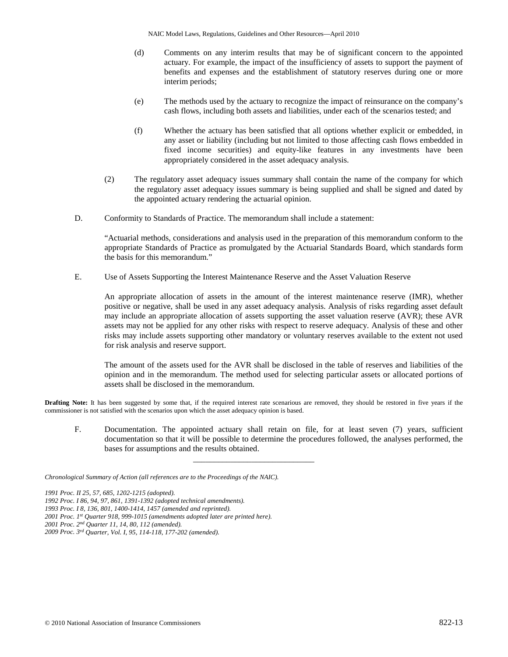NAIC Model Laws, Regulations, Guidelines and Other Resources—April 2010

- (d) Comments on any interim results that may be of significant concern to the appointed actuary. For example, the impact of the insufficiency of assets to support the payment of benefits and expenses and the establishment of statutory reserves during one or more interim periods;
- (e) The methods used by the actuary to recognize the impact of reinsurance on the company's cash flows, including both assets and liabilities, under each of the scenarios tested; and
- (f) Whether the actuary has been satisfied that all options whether explicit or embedded, in any asset or liability (including but not limited to those affecting cash flows embedded in fixed income securities) and equity-like features in any investments have been appropriately considered in the asset adequacy analysis.
- (2) The regulatory asset adequacy issues summary shall contain the name of the company for which the regulatory asset adequacy issues summary is being supplied and shall be signed and dated by the appointed actuary rendering the actuarial opinion.
- D. Conformity to Standards of Practice. The memorandum shall include a statement:

"Actuarial methods, considerations and analysis used in the preparation of this memorandum conform to the appropriate Standards of Practice as promulgated by the Actuarial Standards Board, which standards form the basis for this memorandum."

E. Use of Assets Supporting the Interest Maintenance Reserve and the Asset Valuation Reserve

An appropriate allocation of assets in the amount of the interest maintenance reserve (IMR), whether positive or negative, shall be used in any asset adequacy analysis. Analysis of risks regarding asset default may include an appropriate allocation of assets supporting the asset valuation reserve (AVR); these AVR assets may not be applied for any other risks with respect to reserve adequacy. Analysis of these and other risks may include assets supporting other mandatory or voluntary reserves available to the extent not used for risk analysis and reserve support.

The amount of the assets used for the AVR shall be disclosed in the table of reserves and liabilities of the opinion and in the memorandum. The method used for selecting particular assets or allocated portions of assets shall be disclosed in the memorandum.

**Drafting Note:** It has been suggested by some that, if the required interest rate scenarious are removed, they should be restored in five years if the commissioner is not satisfied with the scenarios upon which the asset adequacy opinion is based.

\_\_\_\_\_\_\_\_\_\_\_\_\_\_\_\_\_\_\_\_\_\_\_\_\_\_\_\_\_

F. Documentation. The appointed actuary shall retain on file, for at least seven (7) years, sufficient documentation so that it will be possible to determine the procedures followed, the analyses performed, the bases for assumptions and the results obtained.

*Chronological Summary of Action (all references are to the Proceedings of the NAIC).*

*<sup>1991</sup> Proc. II 25, 57, 685, 1202-1215 (adopted).*

*<sup>1992</sup> Proc. I 86, 94, 97, 861, 1391-1392 (adopted technical amendments).*

*<sup>1993</sup> Proc. I 8, 136, 801, 1400-1414, 1457 (amended and reprinted).*

*<sup>2001</sup> Proc. 1st Quarter 918, 999-1015 (amendments adopted later are printed here).*

*<sup>2001</sup> Proc. 2nd Quarter 11, 14, 80, 112 (amended).*

*<sup>2009</sup> Proc. 3rd Quarter, Vol. I, 95, 114-118, 177-202 (amended).*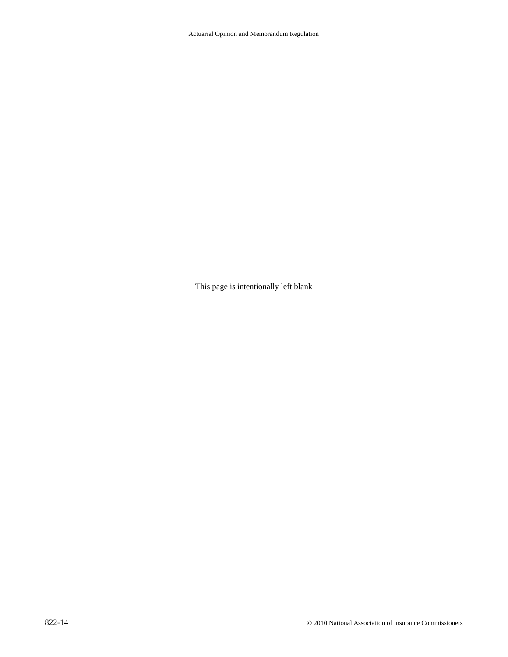Actuarial Opinion and Memorandum Regulation

This page is intentionally left blank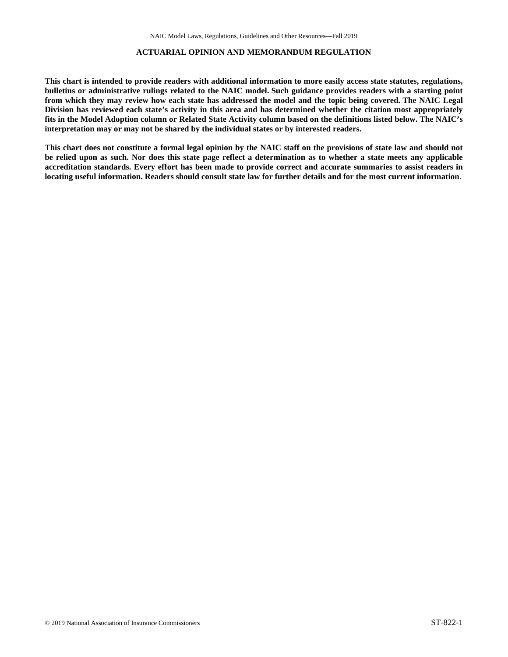**This chart is intended to provide readers with additional information to more easily access state statutes, regulations, bulletins or administrative rulings related to the NAIC model. Such guidance provides readers with a starting point from which they may review how each state has addressed the model and the topic being covered. The NAIC Legal Division has reviewed each state's activity in this area and has determined whether the citation most appropriately fits in the Model Adoption column or Related State Activity column based on the definitions listed below. The NAIC's interpretation may or may not be shared by the individual states or by interested readers.** 

**This chart does not constitute a formal legal opinion by the NAIC staff on the provisions of state law and should not be relied upon as such. Nor does this state page reflect a determination as to whether a state meets any applicable accreditation standards. Every effort has been made to provide correct and accurate summaries to assist readers in locating useful information. Readers should consult state law for further details and for the most current information**.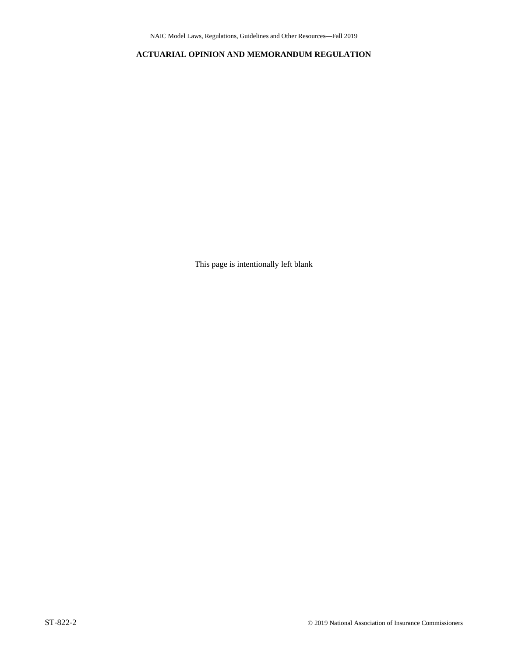This page is intentionally left blank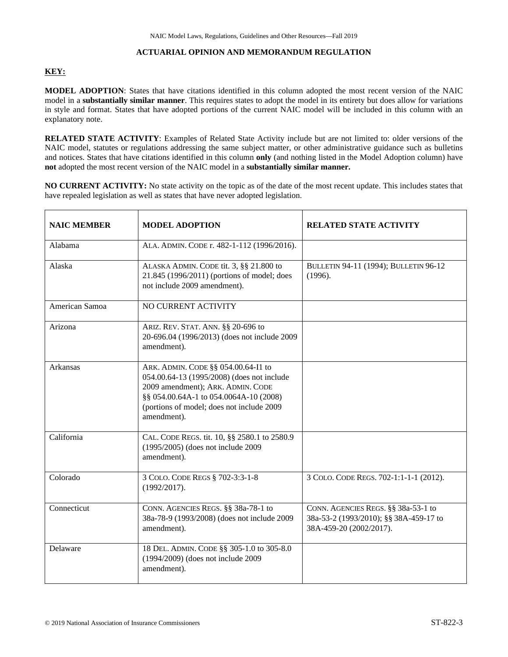## **KEY:**

**MODEL ADOPTION**: States that have citations identified in this column adopted the most recent version of the NAIC model in a **substantially similar manner**. This requires states to adopt the model in its entirety but does allow for variations in style and format. States that have adopted portions of the current NAIC model will be included in this column with an explanatory note.

**RELATED STATE ACTIVITY**: Examples of Related State Activity include but are not limited to: older versions of the NAIC model, statutes or regulations addressing the same subject matter, or other administrative guidance such as bulletins and notices. States that have citations identified in this column **only** (and nothing listed in the Model Adoption column) have **not** adopted the most recent version of the NAIC model in a **substantially similar manner.**

**NO CURRENT ACTIVITY:** No state activity on the topic as of the date of the most recent update. This includes states that have repealed legislation as well as states that have never adopted legislation.

| <b>NAIC MEMBER</b> | <b>MODEL ADOPTION</b>                                                                                                                                                                                                        | <b>RELATED STATE ACTIVITY</b>                                                                            |
|--------------------|------------------------------------------------------------------------------------------------------------------------------------------------------------------------------------------------------------------------------|----------------------------------------------------------------------------------------------------------|
| Alabama            | ALA. ADMIN. CODE r. 482-1-112 (1996/2016).                                                                                                                                                                                   |                                                                                                          |
| Alaska             | ALASKA ADMIN. CODE tit. 3, §§ 21.800 to<br>21.845 (1996/2011) (portions of model; does<br>not include 2009 amendment).                                                                                                       | BULLETIN 94-11 (1994); BULLETIN 96-12<br>(1996).                                                         |
| American Samoa     | NO CURRENT ACTIVITY                                                                                                                                                                                                          |                                                                                                          |
| Arizona            | ARIZ. REV. STAT. ANN. §§ 20-696 to<br>20-696.04 (1996/2013) (does not include 2009<br>amendment).                                                                                                                            |                                                                                                          |
| Arkansas           | ARK. ADMIN. CODE §§ 054.00.64-I1 to<br>054.00.64-13 (1995/2008) (does not include<br>2009 amendment); ARK. ADMIN. CODE<br>§§ 054.00.64A-1 to 054.0064A-10 (2008)<br>(portions of model; does not include 2009<br>amendment). |                                                                                                          |
| California         | CAL. CODE REGS. tit. 10, §§ 2580.1 to 2580.9<br>(1995/2005) (does not include 2009<br>amendment).                                                                                                                            |                                                                                                          |
| Colorado           | 3 COLO. CODE REGS § 702-3:3-1-8<br>(1992/2017).                                                                                                                                                                              | 3 COLO. CODE REGS. 702-1:1-1-1 (2012).                                                                   |
| Connecticut        | CONN. AGENCIES REGS. §§ 38a-78-1 to<br>38a-78-9 (1993/2008) (does not include 2009<br>amendment).                                                                                                                            | CONN. AGENCIES REGS. §§ 38a-53-1 to<br>38a-53-2 (1993/2010); §§ 38A-459-17 to<br>38A-459-20 (2002/2017). |
| Delaware           | 18 DEL. ADMIN. CODE §§ 305-1.0 to 305-8.0<br>(1994/2009) (does not include 2009<br>amendment).                                                                                                                               |                                                                                                          |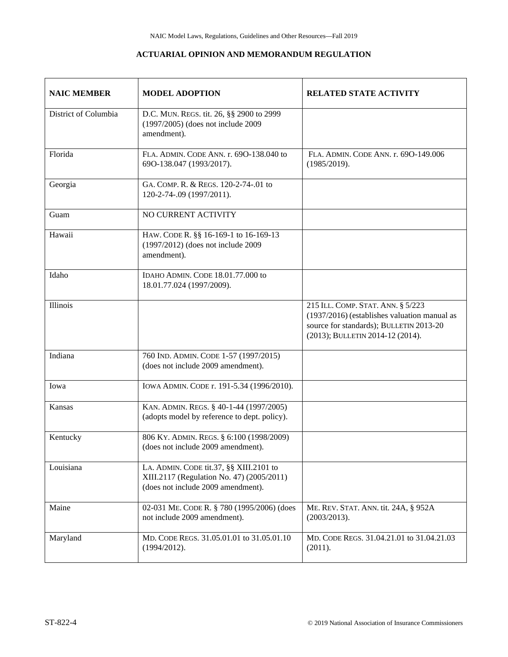| <b>NAIC MEMBER</b>   | <b>MODEL ADOPTION</b>                                                                                                      | <b>RELATED STATE ACTIVITY</b>                                                                                                                                      |
|----------------------|----------------------------------------------------------------------------------------------------------------------------|--------------------------------------------------------------------------------------------------------------------------------------------------------------------|
| District of Columbia | D.C. MUN. REGS. tit. 26, §§ 2900 to 2999<br>(1997/2005) (does not include 2009<br>amendment).                              |                                                                                                                                                                    |
| Florida              | FLA. ADMIN. CODE ANN. r. 690-138.040 to<br>690-138.047 (1993/2017).                                                        | FLA. ADMIN. CODE ANN. r. 69O-149.006<br>(1985/2019).                                                                                                               |
| Georgia              | GA. COMP. R. & REGS. 120-2-74-.01 to<br>120-2-74-.09 (1997/2011).                                                          |                                                                                                                                                                    |
| Guam                 | NO CURRENT ACTIVITY                                                                                                        |                                                                                                                                                                    |
| Hawaii               | HAW. CODE R. §§ 16-169-1 to 16-169-13<br>(1997/2012) (does not include 2009<br>amendment).                                 |                                                                                                                                                                    |
| Idaho                | IDAHO ADMIN. CODE 18.01.77.000 to<br>18.01.77.024 (1997/2009).                                                             |                                                                                                                                                                    |
| Illinois             |                                                                                                                            | 215 ILL. COMP. STAT. ANN. § 5/223<br>$(1937/2016)$ (establishes valuation manual as<br>source for standards); BULLETIN 2013-20<br>(2013); BULLETIN 2014-12 (2014). |
| Indiana              | 760 IND. ADMIN. CODE 1-57 (1997/2015)<br>(does not include 2009 amendment).                                                |                                                                                                                                                                    |
| Iowa                 | IOWA ADMIN. CODE r. 191-5.34 (1996/2010).                                                                                  |                                                                                                                                                                    |
| Kansas               | KAN. ADMIN. REGS. § 40-1-44 (1997/2005)<br>(adopts model by reference to dept. policy).                                    |                                                                                                                                                                    |
| Kentucky             | 806 KY. ADMIN. REGS. § 6:100 (1998/2009)<br>(does not include 2009 amendment).                                             |                                                                                                                                                                    |
| Louisiana            | LA. ADMIN. CODE tit.37, §§ XIII.2101 to<br>XIII.2117 (Regulation No. 47) (2005/2011)<br>(does not include 2009 amendment). |                                                                                                                                                                    |
| Maine                | 02-031 ME. CODE R. § 780 (1995/2006) (does<br>not include 2009 amendment).                                                 | ME. REV. STAT. ANN. tit. 24A, § 952A<br>(2003/2013).                                                                                                               |
| Maryland             | MD. CODE REGS. 31.05.01.01 to 31.05.01.10<br>(1994/2012).                                                                  | MD. CODE REGS. 31.04.21.01 to 31.04.21.03<br>(2011).                                                                                                               |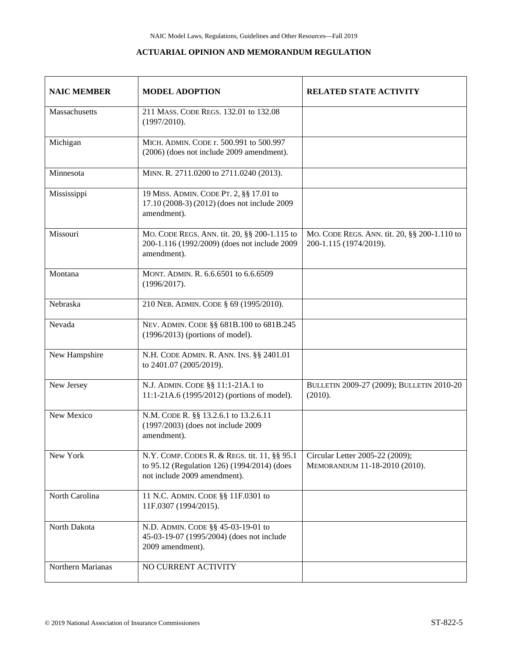| <b>NAIC MEMBER</b> | <b>MODEL ADOPTION</b>                                                                                                       | <b>RELATED STATE ACTIVITY</b>                                          |
|--------------------|-----------------------------------------------------------------------------------------------------------------------------|------------------------------------------------------------------------|
| Massachusetts      | 211 MASS. CODE REGS. 132.01 to 132.08<br>(1997/2010).                                                                       |                                                                        |
| Michigan           | MICH. ADMIN. CODE r. 500.991 to 500.997<br>(2006) (does not include 2009 amendment).                                        |                                                                        |
| Minnesota          | MINN. R. 2711.0200 to 2711.0240 (2013).                                                                                     |                                                                        |
| Mississippi        | 19 MISS. ADMIN. CODE PT. 2, §§ 17.01 to<br>17.10 (2008-3) (2012) (does not include 2009<br>amendment).                      |                                                                        |
| Missouri           | MO. CODE REGS. ANN. tit. 20, §§ 200-1.115 to<br>200-1.116 (1992/2009) (does not include 2009<br>amendment).                 | MO. CODE REGS. ANN. tit. 20, §§ 200-1.110 to<br>200-1.115 (1974/2019). |
| Montana            | MONT. ADMIN. R. 6.6.6501 to 6.6.6509<br>(1996/2017).                                                                        |                                                                        |
| Nebraska           | 210 NEB. ADMIN. CODE § 69 (1995/2010).                                                                                      |                                                                        |
| Nevada             | NEV. ADMIN. CODE §§ 681B.100 to 681B.245<br>$(1996/2013)$ (portions of model).                                              |                                                                        |
| New Hampshire      | N.H. CODE ADMIN. R. ANN. INS. §§ 2401.01<br>to 2401.07 (2005/2019).                                                         |                                                                        |
| New Jersey         | N.J. ADMIN. CODE §§ 11:1-21A.1 to<br>11:1-21A.6 (1995/2012) (portions of model).                                            | BULLETIN 2009-27 (2009); BULLETIN 2010-20<br>(2010).                   |
| New Mexico         | N.M. CODE R. §§ 13.2.6.1 to 13.2.6.11<br>(1997/2003) (does not include 2009<br>amendment).                                  |                                                                        |
| New York           | N.Y. COMP. CODES R. & REGS. tit. 11, §§ 95.1<br>to 95.12 (Regulation 126) (1994/2014) (does<br>not include 2009 amendment). | Circular Letter 2005-22 (2009);<br>MEMORANDUM 11-18-2010 (2010).       |
| North Carolina     | 11 N.C. ADMIN. CODE §§ 11F.0301 to<br>11F.0307 (1994/2015).                                                                 |                                                                        |
| North Dakota       | N.D. ADMIN. CODE §§ 45-03-19-01 to<br>45-03-19-07 (1995/2004) (does not include<br>2009 amendment).                         |                                                                        |
| Northern Marianas  | NO CURRENT ACTIVITY                                                                                                         |                                                                        |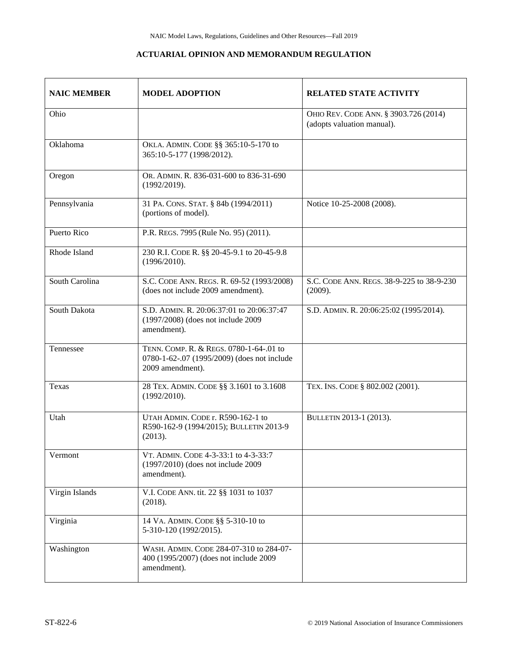| <b>NAIC MEMBER</b> | <b>MODEL ADOPTION</b>                                                                                      | <b>RELATED STATE ACTIVITY</b>                                       |
|--------------------|------------------------------------------------------------------------------------------------------------|---------------------------------------------------------------------|
| Ohio               |                                                                                                            | OHIO REV. CODE ANN. § 3903.726 (2014)<br>(adopts valuation manual). |
| Oklahoma           | OKLA. ADMIN. CODE §§ 365:10-5-170 to<br>365:10-5-177 (1998/2012).                                          |                                                                     |
| Oregon             | OR. ADMIN. R. 836-031-600 to 836-31-690<br>(1992/2019).                                                    |                                                                     |
| Pennsylvania       | 31 PA. CONS. STAT. § 84b (1994/2011)<br>(portions of model).                                               | Notice 10-25-2008 (2008).                                           |
| Puerto Rico        | P.R. REGS. 7995 (Rule No. 95) (2011).                                                                      |                                                                     |
| Rhode Island       | 230 R.I. CODE R. §§ 20-45-9.1 to 20-45-9.8<br>(1996/2010).                                                 |                                                                     |
| South Carolina     | S.C. CODE ANN. REGS. R. 69-52 (1993/2008)<br>(does not include 2009 amendment).                            | S.C. CODE ANN. REGS. 38-9-225 to 38-9-230<br>(2009).                |
| South Dakota       | S.D. ADMIN. R. 20:06:37:01 to 20:06:37:47<br>(1997/2008) (does not include 2009<br>amendment).             | S.D. ADMIN. R. 20:06:25:02 (1995/2014).                             |
| Tennessee          | TENN. COMP. R. & REGS. 0780-1-64-.01 to<br>0780-1-62-.07 (1995/2009) (does not include<br>2009 amendment). |                                                                     |
| Texas              | 28 TEX. ADMIN. CODE §§ 3.1601 to 3.1608<br>(1992/2010).                                                    | TEX. INS. CODE § 802.002 (2001).                                    |
| Utah               | UTAH ADMIN. CODE r. R590-162-1 to<br>R590-162-9 (1994/2015); BULLETIN 2013-9<br>(2013).                    | BULLETIN 2013-1 (2013).                                             |
| Vermont            | VT. ADMIN. CODE 4-3-33:1 to 4-3-33:7<br>(1997/2010) (does not include 2009<br>amendment).                  |                                                                     |
| Virgin Islands     | V.I. CODE ANN. tit. 22 §§ 1031 to 1037<br>(2018).                                                          |                                                                     |
| Virginia           | 14 VA. ADMIN. CODE §§ 5-310-10 to<br>5-310-120 (1992/2015).                                                |                                                                     |
| Washington         | WASH. ADMIN. CODE 284-07-310 to 284-07-<br>400 (1995/2007) (does not include 2009<br>amendment).           |                                                                     |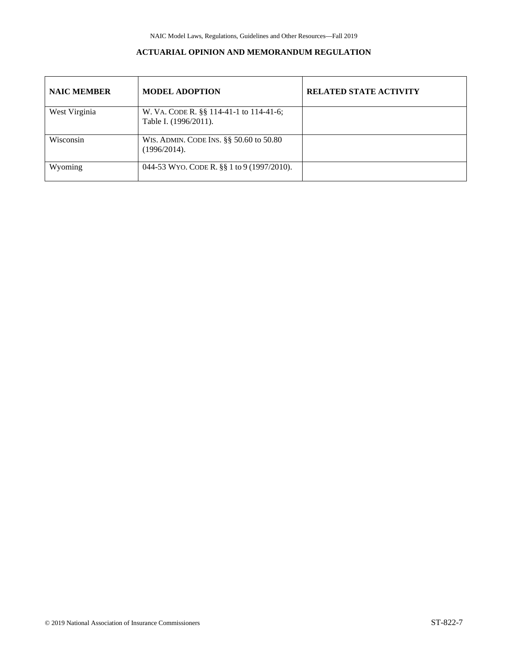| <b>NAIC MEMBER</b> | <b>MODEL ADOPTION</b>                                              | <b>RELATED STATE ACTIVITY</b> |
|--------------------|--------------------------------------------------------------------|-------------------------------|
| West Virginia      | W. VA. CODE R. $\S$ 114-41-1 to 114-41-6;<br>Table I. (1996/2011). |                               |
| Wisconsin          | WIS. ADMIN. CODE INS. §§ 50.60 to 50.80<br>(1996/2014).            |                               |
| Wyoming            | 044-53 WYO. CODE R. $\S$ 1 to 9 (1997/2010).                       |                               |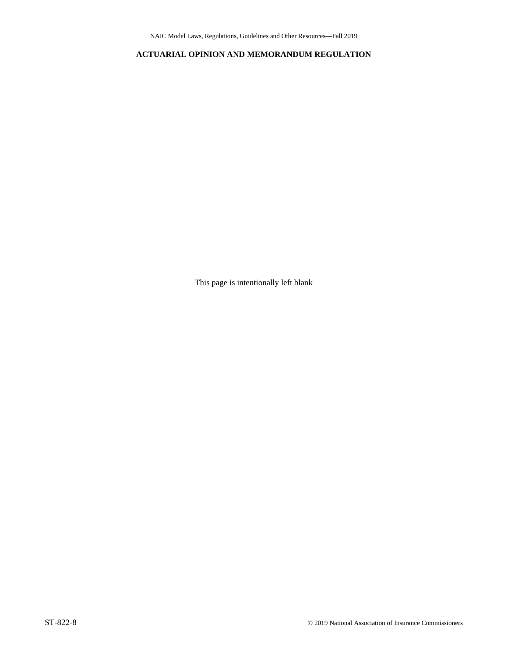This page is intentionally left blank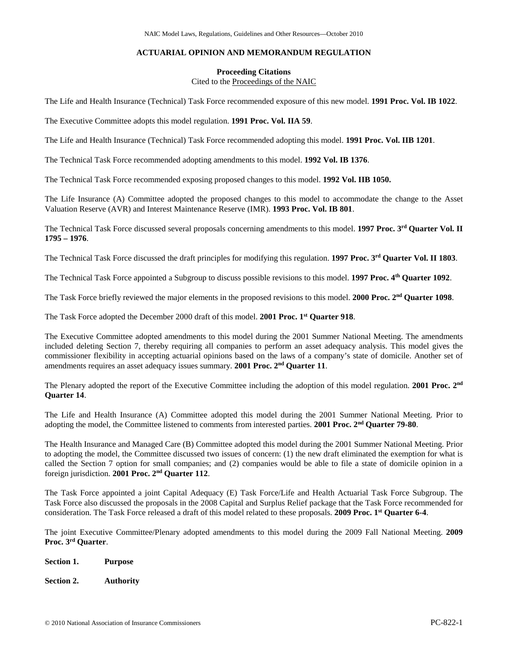### **Proceeding Citations**

Cited to the Proceedings of the NAIC

The Life and Health Insurance (Technical) Task Force recommended exposure of this new model. **1991 Proc. Vol. IB 1022**.

The Executive Committee adopts this model regulation. **1991 Proc. Vol. IIA 59**.

The Life and Health Insurance (Technical) Task Force recommended adopting this model. **1991 Proc. Vol. IIB 1201**.

The Technical Task Force recommended adopting amendments to this model. **1992 Vol. IB 1376**.

The Technical Task Force recommended exposing proposed changes to this model. **1992 Vol. IIB 1050.**

The Life Insurance (A) Committee adopted the proposed changes to this model to accommodate the change to the Asset Valuation Reserve (AVR) and Interest Maintenance Reserve (IMR). **1993 Proc. Vol. IB 801**.

The Technical Task Force discussed several proposals concerning amendments to this model. **1997 Proc. 3rd Quarter Vol. II 1795 – 1976**.

The Technical Task Force discussed the draft principles for modifying this regulation. **1997 Proc. 3rd Quarter Vol. II 1803**.

The Technical Task Force appointed a Subgroup to discuss possible revisions to this model. **1997 Proc. 4th Quarter 1092**.

The Task Force briefly reviewed the major elements in the proposed revisions to this model. **2000 Proc. 2nd Quarter 1098**.

The Task Force adopted the December 2000 draft of this model. **2001 Proc. 1st Quarter 918**.

The Executive Committee adopted amendments to this model during the 2001 Summer National Meeting. The amendments included deleting Section 7, thereby requiring all companies to perform an asset adequacy analysis. This model gives the commissioner flexibility in accepting actuarial opinions based on the laws of a company's state of domicile. Another set of amendments requires an asset adequacy issues summary. **2001 Proc. 2nd Quarter 11**.

The Plenary adopted the report of the Executive Committee including the adoption of this model regulation. **2001 Proc. 2nd Quarter 14**.

The Life and Health Insurance (A) Committee adopted this model during the 2001 Summer National Meeting. Prior to adopting the model, the Committee listened to comments from interested parties. **2001 Proc. 2nd Quarter 79-80**.

The Health Insurance and Managed Care (B) Committee adopted this model during the 2001 Summer National Meeting. Prior to adopting the model, the Committee discussed two issues of concern: (1) the new draft eliminated the exemption for what is called the Section 7 option for small companies; and (2) companies would be able to file a state of domicile opinion in a foreign jurisdiction. **2001 Proc. 2nd Quarter 112**.

The Task Force appointed a joint Capital Adequacy (E) Task Force/Life and Health Actuarial Task Force Subgroup. The Task Force also discussed the proposals in the 2008 Capital and Surplus Relief package that the Task Force recommended for consideration. The Task Force released a draft of this model related to these proposals. **2009 Proc. 1st Quarter 6-4**.

The joint Executive Committee/Plenary adopted amendments to this model during the 2009 Fall National Meeting. **2009 Proc. 3rd Quarter**.

- **Section 1. Purpose**
- **Section 2. Authority**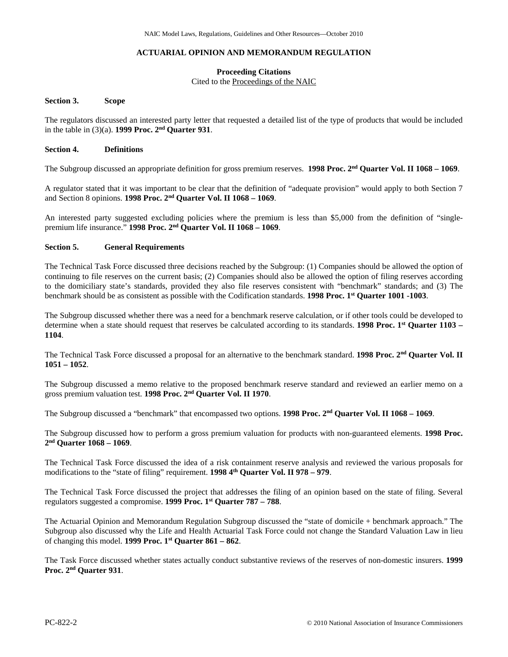### **Proceeding Citations**

Cited to the Proceedings of the NAIC

## **Section 3. Scope**

The regulators discussed an interested party letter that requested a detailed list of the type of products that would be included in the table in (3)(a). **1999 Proc. 2nd Quarter 931**.

### **Section 4. Definitions**

The Subgroup discussed an appropriate definition for gross premium reserves. **1998 Proc. 2nd Quarter Vol. II 1068 – 1069**.

A regulator stated that it was important to be clear that the definition of "adequate provision" would apply to both Section 7 and Section 8 opinions. **1998 Proc. 2nd Quarter Vol. II 1068 – 1069**.

An interested party suggested excluding policies where the premium is less than \$5,000 from the definition of "singlepremium life insurance." **1998 Proc. 2nd Quarter Vol. II 1068 – 1069**.

### **Section 5. General Requirements**

The Technical Task Force discussed three decisions reached by the Subgroup: (1) Companies should be allowed the option of continuing to file reserves on the current basis; (2) Companies should also be allowed the option of filing reserves according to the domiciliary state's standards, provided they also file reserves consistent with "benchmark" standards; and (3) The benchmark should be as consistent as possible with the Codification standards. **1998 Proc. 1st Quarter 1001 -1003**.

The Subgroup discussed whether there was a need for a benchmark reserve calculation, or if other tools could be developed to determine when a state should request that reserves be calculated according to its standards. **1998 Proc. 1st Quarter 1103 – 1104**.

The Technical Task Force discussed a proposal for an alternative to the benchmark standard. **1998 Proc. 2nd Quarter Vol. II 1051 – 1052**.

The Subgroup discussed a memo relative to the proposed benchmark reserve standard and reviewed an earlier memo on a gross premium valuation test. **1998 Proc. 2nd Quarter Vol. II 1970**.

The Subgroup discussed a "benchmark" that encompassed two options. **1998 Proc. 2nd Quarter Vol. II 1068 – 1069**.

The Subgroup discussed how to perform a gross premium valuation for products with non-guaranteed elements. **1998 Proc. 2nd Quarter 1068 – 1069**.

The Technical Task Force discussed the idea of a risk containment reserve analysis and reviewed the various proposals for modifications to the "state of filing" requirement. **1998 4th Quarter Vol. II 978 – 979**.

The Technical Task Force discussed the project that addresses the filing of an opinion based on the state of filing. Several regulators suggested a compromise. **1999 Proc. 1st Quarter 787 – 788**.

The Actuarial Opinion and Memorandum Regulation Subgroup discussed the "state of domicile + benchmark approach." The Subgroup also discussed why the Life and Health Actuarial Task Force could not change the Standard Valuation Law in lieu of changing this model. **1999 Proc. 1st Quarter 861 – 862**.

The Task Force discussed whether states actually conduct substantive reviews of the reserves of non-domestic insurers. **1999 Proc. 2nd Quarter 931**.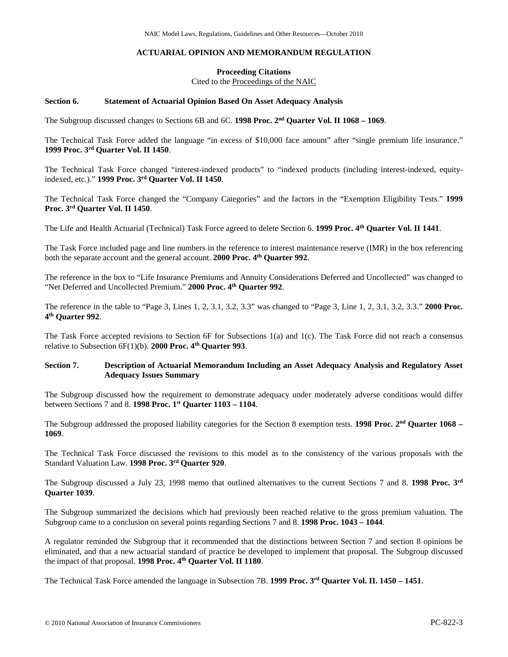### **Proceeding Citations**

Cited to the Proceedings of the NAIC

### **Section 6. Statement of Actuarial Opinion Based On Asset Adequacy Analysis**

The Subgroup discussed changes to Sections 6B and 6C. **1998 Proc. 2nd Quarter Vol. II 1068 – 1069**.

The Technical Task Force added the language "in excess of \$10,000 face amount" after "single premium life insurance." **1999 Proc. 3rd Quarter Vol. II 1450**.

The Technical Task Force changed "interest-indexed products" to "indexed products (including interest-indexed, equityindexed, etc.)." **1999 Proc. 3rd Quarter Vol. II 1450**.

The Technical Task Force changed the "Company Categories" and the factors in the "Exemption Eligibility Tests." **1999 Proc. 3rd Quarter Vol. II 1450**.

The Life and Health Actuarial (Technical) Task Force agreed to delete Section 6. **1999 Proc. 4th Quarter Vol. II 1441**.

The Task Force included page and line numbers in the reference to interest maintenance reserve (IMR) in the box referencing both the separate account and the general account. **2000 Proc. 4th Quarter 992**.

The reference in the box to "Life Insurance Premiums and Annuity Considerations Deferred and Uncollected" was changed to "Net Deferred and Uncollected Premium." **2000 Proc. 4th Quarter 992**.

The reference in the table to "Page 3, Lines 1, 2, 3.1, 3.2, 3.3" was changed to "Page 3, Line 1, 2, 3.1, 3.2, 3.3." **2000 Proc. 4th Quarter 992**.

The Task Force accepted revisions to Section 6F for Subsections 1(a) and 1(c). The Task Force did not reach a consensus relative to Subsection 6F(1)(b). **2000 Proc. 4th Quarter 993**.

## **Section 7. Description of Actuarial Memorandum Including an Asset Adequacy Analysis and Regulatory Asset Adequacy Issues Summary**

The Subgroup discussed how the requirement to demonstrate adequacy under moderately adverse conditions would differ between Sections 7 and 8. **1998 Proc. 1st Quarter 1103 – 1104**.

The Subgroup addressed the proposed liability categories for the Section 8 exemption tests. **1998 Proc. 2nd Quarter 1068 – 1069**.

The Technical Task Force discussed the revisions to this model as to the consistency of the various proposals with the Standard Valuation Law. **1998 Proc. 3rd Quarter 920**.

The Subgroup discussed a July 23, 1998 memo that outlined alternatives to the current Sections 7 and 8. **1998 Proc. 3rd Quarter 1039**.

The Subgroup summarized the decisions which had previously been reached relative to the gross premium valuation. The Subgroup came to a conclusion on several points regarding Sections 7 and 8. **1998 Proc. 1043 – 1044**.

A regulator reminded the Subgroup that it recommended that the distinctions between Section 7 and section 8 opinions be eliminated, and that a new actuarial standard of practice be developed to implement that proposal. The Subgroup discussed the impact of that proposal. **1998 Proc. 4th Quarter Vol. II 1180**.

The Technical Task Force amended the language in Subsection 7B. **1999 Proc. 3rd Quarter Vol. II. 1450 – 1451**.